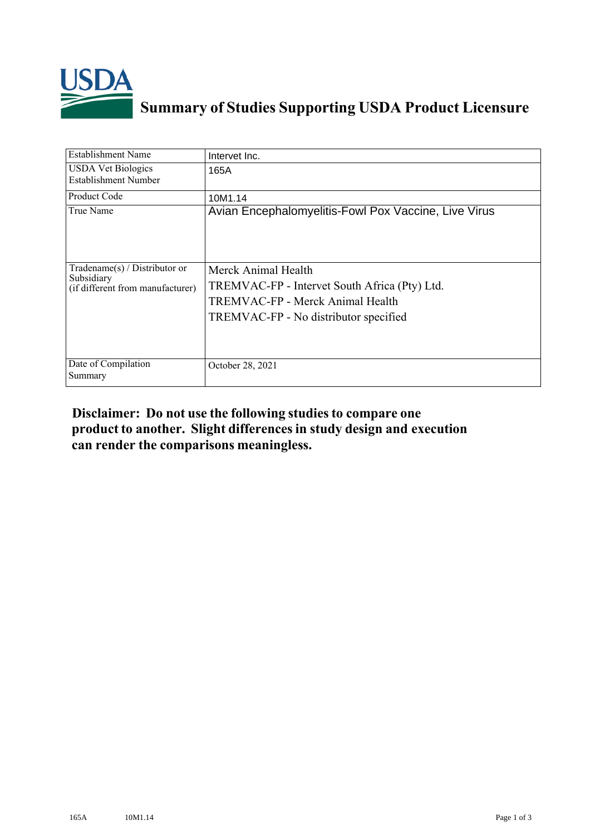

## **Summary of Studies Supporting USDA Product Licensure**

| <b>Establishment Name</b>                                                         | Intervet Inc.                                                                                                                                     |
|-----------------------------------------------------------------------------------|---------------------------------------------------------------------------------------------------------------------------------------------------|
| <b>USDA Vet Biologics</b><br>Establishment Number                                 | 165A                                                                                                                                              |
| <b>Product Code</b>                                                               | 10M1.14                                                                                                                                           |
| True Name                                                                         | Avian Encephalomyelitis-Fowl Pox Vaccine, Live Virus                                                                                              |
| $Tradename(s) / Distributor$ or<br>Subsidiary<br>(if different from manufacturer) | Merck Animal Health<br>TREMVAC-FP - Intervet South Africa (Pty) Ltd.<br>TREMVAC-FP - Merck Animal Health<br>TREMVAC-FP - No distributor specified |
| Date of Compilation<br>Summary                                                    | October 28, 2021                                                                                                                                  |

## **Disclaimer: Do not use the following studiesto compare one product to another. Slight differencesin study design and execution can render the comparisons meaningless.**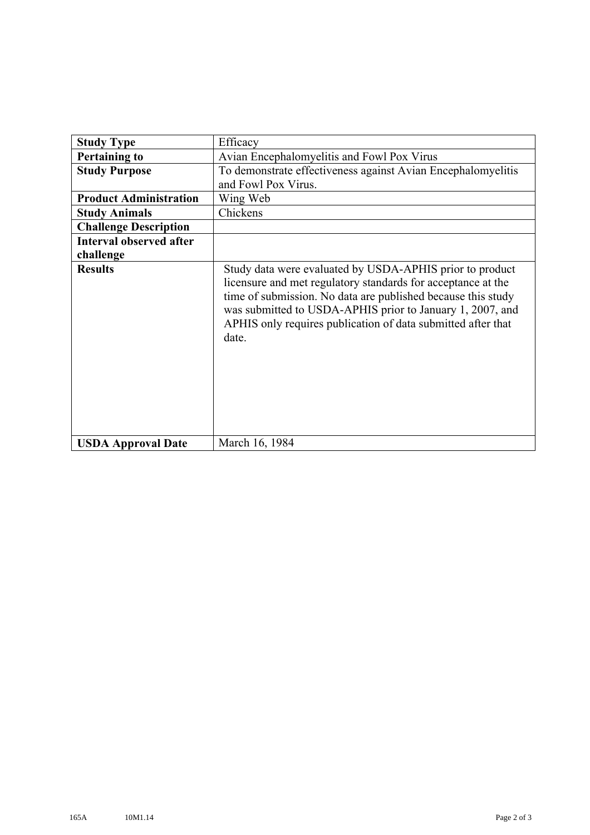| <b>Study Type</b>              | Efficacy                                                                                                                                                                                                                                                                                                                       |
|--------------------------------|--------------------------------------------------------------------------------------------------------------------------------------------------------------------------------------------------------------------------------------------------------------------------------------------------------------------------------|
| <b>Pertaining to</b>           | Avian Encephalomyelitis and Fowl Pox Virus                                                                                                                                                                                                                                                                                     |
| <b>Study Purpose</b>           | To demonstrate effectiveness against Avian Encephalomyelitis<br>and Fowl Pox Virus.                                                                                                                                                                                                                                            |
| <b>Product Administration</b>  | Wing Web                                                                                                                                                                                                                                                                                                                       |
| <b>Study Animals</b>           | Chickens                                                                                                                                                                                                                                                                                                                       |
| <b>Challenge Description</b>   |                                                                                                                                                                                                                                                                                                                                |
| <b>Interval observed after</b> |                                                                                                                                                                                                                                                                                                                                |
| challenge                      |                                                                                                                                                                                                                                                                                                                                |
| <b>Results</b>                 | Study data were evaluated by USDA-APHIS prior to product<br>licensure and met regulatory standards for acceptance at the<br>time of submission. No data are published because this study<br>was submitted to USDA-APHIS prior to January 1, 2007, and<br>APHIS only requires publication of data submitted after that<br>date. |
| <b>USDA Approval Date</b>      | March 16, 1984                                                                                                                                                                                                                                                                                                                 |